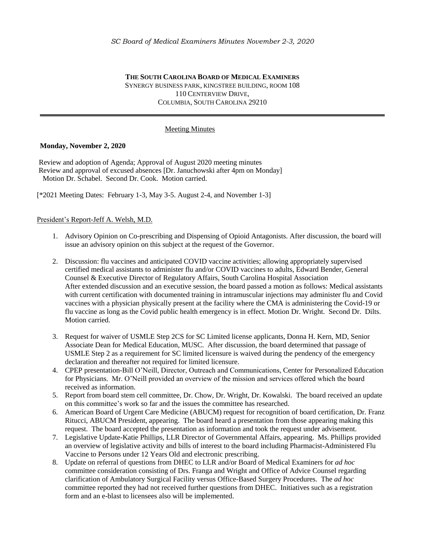# **THE SOUTH CAROLINA BOARD OF MEDICAL EXAMINERS** SYNERGY BUSINESS PARK, KINGSTREE BUILDING, ROOM 108 110 CENTERVIEW DRIVE, COLUMBIA, SOUTH CAROLINA 29210

# Meeting Minutes

#### **Monday, November 2, 2020**

 Review and adoption of Agenda; Approval of August 2020 meeting minutes Review and approval of excused absences [Dr. Januchowski after 4pm on Monday] Motion Dr. Schabel. Second Dr. Cook. Motion carried.

[\*2021 Meeting Dates: February 1-3, May 3-5. August 2-4, and November 1-3]

#### President's Report-Jeff A. Welsh, M.D.

- 1. Advisory Opinion on Co-prescribing and Dispensing of Opioid Antagonists. After discussion, the board will issue an advisory opinion on this subject at the request of the Governor.
- 2. Discussion: flu vaccines and anticipated COVID vaccine activities; allowing appropriately supervised certified medical assistants to administer flu and/or COVID vaccines to adults, Edward Bender, General Counsel & Executive Director of Regulatory Affairs, South Carolina Hospital Association After extended discussion and an executive session, the board passed a motion as follows: Medical assistants with current certification with documented training in intramuscular injections may administer flu and Covid vaccines with a physician physically present at the facility where the CMA is administering the Covid-19 or flu vaccine as long as the Covid public health emergency is in effect. Motion Dr. Wright. Second Dr. Dilts. Motion carried.
- 3. Request for waiver of USMLE Step 2CS for SC Limited license applicants, Donna H. Kern, MD, Senior Associate Dean for Medical Education, MUSC. After discussion, the board determined that passage of USMLE Step 2 as a requirement for SC limited licensure is waived during the pendency of the emergency declaration and thereafter not required for limited licensure.
- 4. CPEP presentation-Bill O'Neill, Director, Outreach and Communications, Center for Personalized Education for Physicians. Mr. O'Neill provided an overview of the mission and services offered which the board received as information.
- 5. Report from board stem cell committee, Dr. Chow, Dr. Wright, Dr. Kowalski. The board received an update on this committee's work so far and the issues the committee has researched.
- 6. American Board of Urgent Care Medicine (ABUCM) request for recognition of board certification, Dr. Franz Ritucci, ABUCM President, appearing. The board heard a presentation from those appearing making this request. The board accepted the presentation as information and took the request under advisement.
- 7. Legislative Update-Katie Phillips, LLR Director of Governmental Affairs, appearing. Ms. Phillips provided an overview of legislative activity and bills of interest to the board including Pharmacist-Administered Flu Vaccine to Persons under 12 Years Old and electronic prescribing.
- 8. Update on referral of questions from DHEC to LLR and/or Board of Medical Examiners for *ad hoc* committee consideration consisting of Drs. Franga and Wright and Office of Advice Counsel regarding clarification of Ambulatory Surgical Facility versus Office-Based Surgery Procedures. The *ad hoc* committee reported they had not received further questions from DHEC. Initiatives such as a registration form and an e-blast to licensees also will be implemented.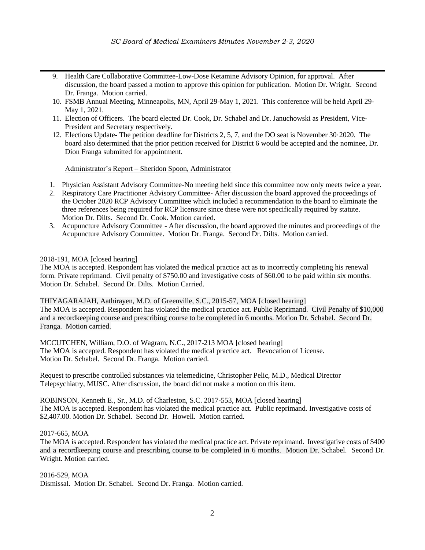- 9. Health Care Collaborative Committee-Low-Dose Ketamine Advisory Opinion, for approval. After discussion, the board passed a motion to approve this opinion for publication. Motion Dr. Wright. Second Dr. Franga. Motion carried.
- 10. FSMB Annual Meeting, Minneapolis, MN, April 29-May 1, 2021. This conference will be held April 29- May 1, 2021.
- 11. Election of Officers. The board elected Dr. Cook, Dr. Schabel and Dr. Januchowski as President, Vice-President and Secretary respectively.
- 12. Elections Update- The petition deadline for Districts 2, 5, 7, and the DO seat is November 30, 2020. The board also determined that the prior petition received for District 6 would be accepted and the nominee, Dr. Dion Franga submitted for appointment.

Administrator's Report – Sheridon Spoon, Administrator

- 1. Physician Assistant Advisory Committee-No meeting held since this committee now only meets twice a year.
- 2. Respiratory Care Practitioner Advisory Committee- After discussion the board approved the proceedings of the October 2020 RCP Advisory Committee which included a recommendation to the board to eliminate the three references being required for RCP licensure since these were not specifically required by statute. Motion Dr. Dilts. Second Dr. Cook. Motion carried.
- 3. Acupuncture Advisory Committee After discussion, the board approved the minutes and proceedings of the Acupuncture Advisory Committee. Motion Dr. Franga. Second Dr. Dilts. Motion carried.

# 2018-191, MOA [closed hearing]

The MOA is accepted. Respondent has violated the medical practice act as to incorrectly completing his renewal form. Private reprimand. Civil penalty of \$750.00 and investigative costs of \$60.00 to be paid within six months. Motion Dr. Schabel. Second Dr. Dilts. Motion Carried.

THIYAGARAJAH, Aathirayen, M.D. of Greenville, S.C., 2015-57, MOA [closed hearing] The MOA is accepted. Respondent has violated the medical practice act. Public Reprimand. Civil Penalty of \$10,000 and a recordkeeping course and prescribing course to be completed in 6 months. Motion Dr. Schabel. Second Dr. Franga. Motion carried.

MCCUTCHEN, William, D.O. of Wagram, N.C., 2017-213 MOA [closed hearing] The MOA is accepted. Respondent has violated the medical practice act. Revocation of License. Motion Dr. Schabel. Second Dr. Franga. Motion carried.

Request to prescribe controlled substances via telemedicine, Christopher Pelic, M.D., Medical Director Telepsychiatry, MUSC. After discussion, the board did not make a motion on this item.

ROBINSON, Kenneth E., Sr., M.D. of Charleston, S.C. 2017-553, MOA [closed hearing] The MOA is accepted. Respondent has violated the medical practice act. Public reprimand. Investigative costs of \$2,407.00. Motion Dr. Schabel. Second Dr. Howell. Motion carried.

# 2017-665, MOA

The MOA is accepted. Respondent has violated the medical practice act. Private reprimand. Investigative costs of \$400 and a recordkeeping course and prescribing course to be completed in 6 months. Motion Dr. Schabel. Second Dr. Wright. Motion carried.

#### 2016-529, MOA

Dismissal. Motion Dr. Schabel. Second Dr. Franga. Motion carried.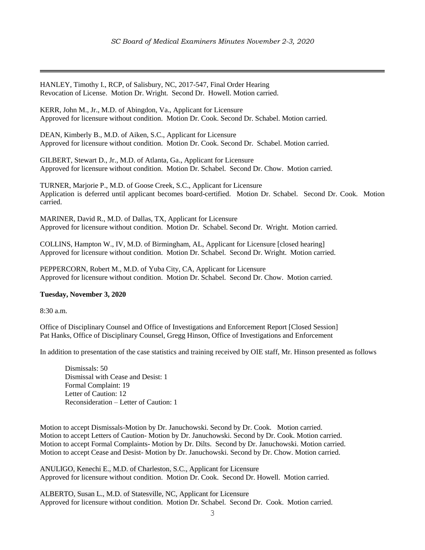HANLEY, Timothy I., RCP, of Salisbury, NC, 2017-547, Final Order Hearing Revocation of License. Motion Dr. Wright. Second Dr. Howell. Motion carried.

KERR, John M., Jr., M.D. of Abingdon, Va., Applicant for Licensure Approved for licensure without condition. Motion Dr. Cook. Second Dr. Schabel. Motion carried.

DEAN, Kimberly B., M.D. of Aiken, S.C., Applicant for Licensure Approved for licensure without condition. Motion Dr. Cook. Second Dr. Schabel. Motion carried.

GILBERT, Stewart D., Jr., M.D. of Atlanta, Ga., Applicant for Licensure Approved for licensure without condition. Motion Dr. Schabel. Second Dr. Chow. Motion carried.

TURNER, Marjorie P., M.D. of Goose Creek, S.C., Applicant for Licensure Application is deferred until applicant becomes board-certified. Motion Dr. Schabel. Second Dr. Cook. Motion carried.

MARINER, David R., M.D. of Dallas, TX, Applicant for Licensure Approved for licensure without condition. Motion Dr. Schabel. Second Dr. Wright. Motion carried.

COLLINS, Hampton W., IV, M.D. of Birmingham, AL, Applicant for Licensure [closed hearing] Approved for licensure without condition. Motion Dr. Schabel. Second Dr. Wright. Motion carried.

PEPPERCORN, Robert M., M.D. of Yuba City, CA, Applicant for Licensure Approved for licensure without condition. Motion Dr. Schabel. Second Dr. Chow. Motion carried.

# **Tuesday, November 3, 2020**

 $8.30 a m$ 

Office of Disciplinary Counsel and Office of Investigations and Enforcement Report [Closed Session] Pat Hanks, Office of Disciplinary Counsel, Gregg Hinson, Office of Investigations and Enforcement

In addition to presentation of the case statistics and training received by OIE staff, Mr. Hinson presented as follows

Dismissals: 50 Dismissal with Cease and Desist: 1 Formal Complaint: 19 Letter of Caution: 12 Reconsideration – Letter of Caution: 1

Motion to accept Dismissals-Motion by Dr. Januchowski. Second by Dr. Cook. Motion carried. Motion to accept Letters of Caution- Motion by Dr. Januchowski. Second by Dr. Cook. Motion carried. Motion to accept Formal Complaints- Motion by Dr. Dilts. Second by Dr. Januchowski. Motion carried. Motion to accept Cease and Desist- Motion by Dr. Januchowski. Second by Dr. Chow. Motion carried.

ANULIGO, Kenechi E., M.D. of Charleston, S.C., Applicant for Licensure Approved for licensure without condition. Motion Dr. Cook. Second Dr. Howell. Motion carried.

ALBERTO, Susan L., M.D. of Statesville, NC, Applicant for Licensure Approved for licensure without condition. Motion Dr. Schabel. Second Dr. Cook. Motion carried.